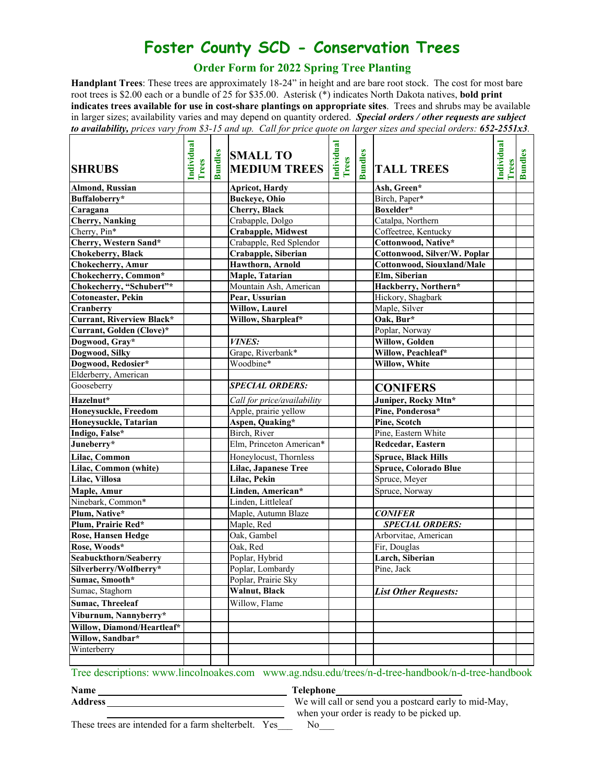## **Foster County SCD - Conservation Trees**

## **Order Form for 2022 Spring Tree Planting**

**Handplant Trees**: These trees are approximately 18-24" in height and are bare root stock. The cost for most bare root trees is \$2.00 each or a bundle of 25 for \$35.00. Asterisk (\*) indicates North Dakota natives, **bold print indicates trees available for use in cost-share plantings on appropriate sites**. Trees and shrubs may be available in larger sizes; availability varies and may depend on quantity ordered. *Special orders / other requests are subject to availability, prices vary from \$3-15 and up. Call for price quote on larger sizes and special orders: 652-2551x3.* 

| <b>SHRUBS</b>                    | Individual<br>Trees | <b>Bundles</b> | <b>SMALL TO</b><br><b>MEDIUM TREES</b> | Individual<br>Trees | <b>Bundles</b> | <b>TALL TREES</b>            | Individual<br><b>Trees</b> | <b>Bundles</b> |
|----------------------------------|---------------------|----------------|----------------------------------------|---------------------|----------------|------------------------------|----------------------------|----------------|
| <b>Almond, Russian</b>           |                     |                | <b>Apricot</b> , Hardy                 |                     |                | Ash, Green*                  |                            |                |
| Buffaloberry*                    |                     |                | <b>Buckeye</b> , Ohio                  |                     |                | Birch, Paper*                |                            |                |
| Caragana                         |                     |                | Cherry, Black                          |                     |                | Boxelder*                    |                            |                |
| <b>Cherry</b> , Nanking          |                     |                | Crabapple, Dolgo                       |                     |                | Catalpa, Northern            |                            |                |
| Cherry, Pin*                     |                     |                | <b>Crabapple, Midwest</b>              |                     |                | Coffeetree, Kentucky         |                            |                |
| Cherry, Western Sand*            |                     |                | Crabapple, Red Splendor                |                     |                | Cottonwood, Native*          |                            |                |
| <b>Chokeberry</b> , Black        |                     |                | Crabapple, Siberian                    |                     |                | Cottonwood, Silver/W. Poplar |                            |                |
| Chokecherry, Amur                |                     |                | Hawthorn, Arnold                       |                     |                | Cottonwood, Siouxland/Male   |                            |                |
| Chokecherry, Common*             |                     |                | Maple, Tatarian                        |                     |                | Elm, Siberian                |                            |                |
| Chokecherry, "Schubert"*         |                     |                | Mountain Ash, American                 |                     |                | Hackberry, Northern*         |                            |                |
| Cotoneaster, Pekin               |                     |                | Pear, Ussurian                         |                     |                | Hickory, Shagbark            |                            |                |
| Cranberry                        |                     |                | <b>Willow, Laurel</b>                  |                     |                | Maple, Silver                |                            |                |
| <b>Currant, Riverview Black*</b> |                     |                | Willow, Sharpleaf*                     |                     |                | Oak, Bur*                    |                            |                |
| Currant, Golden (Clove)*         |                     |                |                                        |                     |                | Poplar, Norway               |                            |                |
| Dogwood, Gray*                   |                     |                | VINES:                                 |                     |                | <b>Willow, Golden</b>        |                            |                |
| Dogwood, Silky                   |                     |                | Grape, Riverbank*                      |                     |                | Willow, Peachleaf*           |                            |                |
| Dogwood, Redosier*               |                     |                | Woodbine*                              |                     |                | Willow, White                |                            |                |
| Elderberry, American             |                     |                |                                        |                     |                |                              |                            |                |
| Gooseberry                       |                     |                | <b>SPECIAL ORDERS:</b>                 |                     |                | <b>CONIFERS</b>              |                            |                |
| Hazelnut*                        |                     |                | Call for price/availability            |                     |                | Juniper, Rocky Mtn*          |                            |                |
| Honeysuckle, Freedom             |                     |                | Apple, prairie yellow                  |                     |                | Pine, Ponderosa*             |                            |                |
| Honeysuckle, Tatarian            |                     |                | Aspen, Quaking*                        |                     |                | Pine, Scotch                 |                            |                |
| Indigo, False*                   |                     |                | Birch, River                           |                     |                | Pine, Eastern White          |                            |                |
| Juneberry*                       |                     |                | Elm, Princeton American*               |                     |                | Redcedar, Eastern            |                            |                |
| Lilac, Common                    |                     |                | Honeylocust, Thornless                 |                     |                | <b>Spruce, Black Hills</b>   |                            |                |
| Lilac, Common (white)            |                     |                | Lilac, Japanese Tree                   |                     |                | Spruce, Colorado Blue        |                            |                |
| Lilac, Villosa                   |                     |                | Lilac, Pekin                           |                     |                | Spruce, Meyer                |                            |                |
| Maple, Amur                      |                     |                | Linden, American*                      |                     |                | Spruce, Norway               |                            |                |
| Ninebark, Common*                |                     |                | Linden, Littleleaf                     |                     |                |                              |                            |                |
| Plum, Native*                    |                     |                | Maple, Autumn Blaze                    |                     |                | <b>CONIFER</b>               |                            |                |
| Plum, Prairie Red*               |                     |                | Maple, Red                             |                     |                | <b>SPECIAL ORDERS:</b>       |                            |                |
| Rose, Hansen Hedge               |                     |                | Oak, Gambel                            |                     |                | Arborvitae, American         |                            |                |
| Rose, Woods*                     |                     |                | Oak, Red                               |                     |                | Fir, Douglas                 |                            |                |
| Seabuckthorn/Seaberry            |                     |                | Poplar, Hybrid                         |                     |                | Larch, Siberian              |                            |                |
| Silverberry/Wolfberry*           |                     |                | Poplar, Lombardy                       |                     |                | Pine, Jack                   |                            |                |
| Sumac, Smooth*                   |                     |                | Poplar, Prairie Sky                    |                     |                |                              |                            |                |
| Sumac, Staghorn                  |                     |                | Walnut, Black                          |                     |                | <b>List Other Requests:</b>  |                            |                |
| <b>Sumac, Threeleaf</b>          |                     |                | Willow, Flame                          |                     |                |                              |                            |                |
| Viburnum, Nannyberry*            |                     |                |                                        |                     |                |                              |                            |                |
| Willow, Diamond/Heartleaf*       |                     |                |                                        |                     |                |                              |                            |                |
| Willow, Sandbar*                 |                     |                |                                        |                     |                |                              |                            |                |
| Winterberry                      |                     |                |                                        |                     |                |                              |                            |                |
|                                  |                     |                |                                        |                     |                |                              |                            |                |

Tree descriptions: [www.lincolnoakes.com](http://www.lincolnoakes.com/) www.ag.ndsu.edu/trees/n-d-tree-handbook/n-d-tree-handbook

Name Telephone

**Address** We will call or send you a postcard early to mid-May,

These trees are intended for a farm shelterbelt. Yes No

when your order is ready to be picked up.